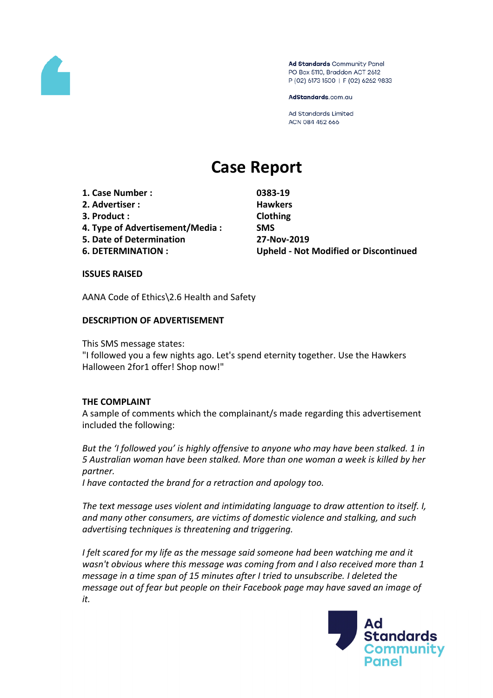

Ad Standards Community Panel PO Box 5110, Braddon ACT 2612 P (02) 6173 1500 | F (02) 6262 9833

AdStandards.com.au

Ad Standards Limited ACN 084 452 666

# **Case Report**

**1. Case Number : 0383-19**

- **2. Advertiser : Hawkers**
- **3. Product : Clothing**
- **4. Type of Advertisement/Media : SMS**
- **5. Date of Determination 27-Nov-2019**
- 

**6. DETERMINATION : Upheld - Not Modified or Discontinued**

#### **ISSUES RAISED**

AANA Code of Ethics\2.6 Health and Safety

# **DESCRIPTION OF ADVERTISEMENT**

This SMS message states:

"I followed you a few nights ago. Let's spend eternity together. Use the Hawkers Halloween 2for1 offer! Shop now!"

# **THE COMPLAINT**

A sample of comments which the complainant/s made regarding this advertisement included the following:

*But the 'I followed you' is highly offensive to anyone who may have been stalked. 1 in 5 Australian woman have been stalked. More than one woman a week is killed by her partner.*

*I have contacted the brand for a retraction and apology too.*

*The text message uses violent and intimidating language to draw attention to itself. I, and many other consumers, are victims of domestic violence and stalking, and such advertising techniques is threatening and triggering.*

*I felt scared for my life as the message said someone had been watching me and it wasn't obvious where this message was coming from and I also received more than 1 message in a time span of 15 minutes after I tried to unsubscribe. I deleted the message out of fear but people on their Facebook page may have saved an image of it.*

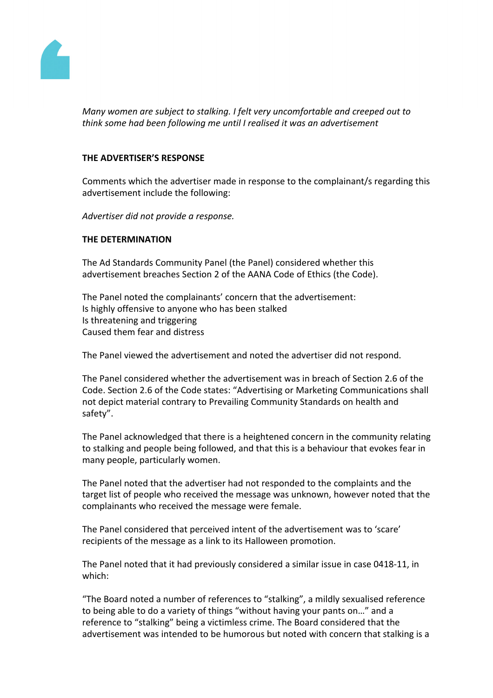

*Many women are subject to stalking. I felt very uncomfortable and creeped out to think some had been following me until I realised it was an advertisement*

#### **THE ADVERTISER'S RESPONSE**

Comments which the advertiser made in response to the complainant/s regarding this advertisement include the following:

*Advertiser did not provide a response.*

#### **THE DETERMINATION**

The Ad Standards Community Panel (the Panel) considered whether this advertisement breaches Section 2 of the AANA Code of Ethics (the Code).

The Panel noted the complainants' concern that the advertisement: Is highly offensive to anyone who has been stalked Is threatening and triggering Caused them fear and distress

The Panel viewed the advertisement and noted the advertiser did not respond.

The Panel considered whether the advertisement was in breach of Section 2.6 of the Code. Section 2.6 of the Code states: "Advertising or Marketing Communications shall not depict material contrary to Prevailing Community Standards on health and safety".

The Panel acknowledged that there is a heightened concern in the community relating to stalking and people being followed, and that this is a behaviour that evokes fear in many people, particularly women.

The Panel noted that the advertiser had not responded to the complaints and the target list of people who received the message was unknown, however noted that the complainants who received the message were female.

The Panel considered that perceived intent of the advertisement was to 'scare' recipients of the message as a link to its Halloween promotion.

The Panel noted that it had previously considered a similar issue in case 0418-11, in which:

"The Board noted a number of references to "stalking", a mildly sexualised reference to being able to do a variety of things "without having your pants on…" and a reference to "stalking" being a victimless crime. The Board considered that the advertisement was intended to be humorous but noted with concern that stalking is a